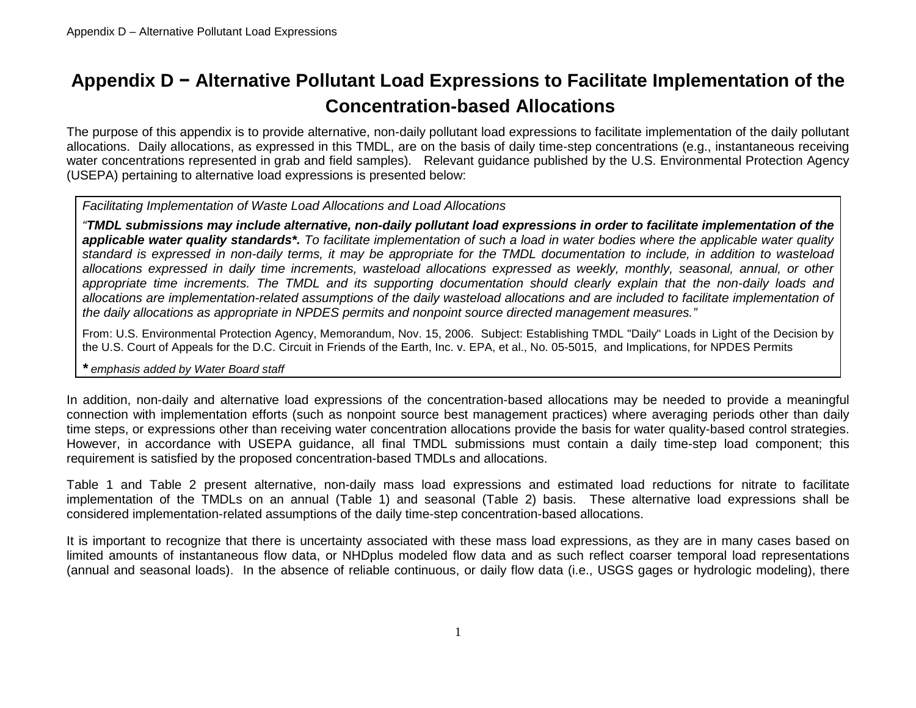## **Appendix D − Alternative Pollutant Load Expressions to Facilitate Implementation of the Concentration-based Allocations**

The purpose of this appendix is to provide alternative, non-daily pollutant load expressions to facilitate implementation of the daily pollutant allocations. Daily allocations, as expressed in this TMDL, are on the basis of daily time-step concentrations (e.g., instantaneous receiving water concentrations represented in grab and field samples). Relevant guidance published by the U.S. Environmental Protection Agency (USEPA) pertaining to alternative load expressions is presented below:

## *Facilitating Implementation of Waste Load Allocations and Load Allocations*

*"TMDL submissions may include alternative, non-daily pollutant load expressions in order to facilitate implementation of the applicable water quality standards\*. To facilitate implementation of such a load in water bodies where the applicable water quality standard is expressed in non-daily terms, it may be appropriate for the TMDL documentation to include, in addition to wasteload allocations expressed in daily time increments, wasteload allocations expressed as weekly, monthly, seasonal, annual, or other appropriate time increments. The TMDL and its supporting documentation should clearly explain that the non-daily loads and allocations are implementation-related assumptions of the daily wasteload allocations and are included to facilitate implementation of the daily allocations as appropriate in NPDES permits and nonpoint source directed management measures."*

From: U.S. Environmental Protection Agency, Memorandum, Nov. 15, 2006. Subject: Establishing TMDL "Daily" Loads in Light of the Decision by the U.S. Court of Appeals for the D.C. Circuit in Friends of the Earth, Inc. v. EPA, et al., No. 05-5015, and Implications, for NPDES Permits

## *\* emphasis added by Water Board staff*

In addition, non-daily and alternative load expressions of the concentration-based allocations may be needed to provide a meaningful connection with implementation efforts (such as nonpoint source best management practices) where averaging periods other than daily time steps, or expressions other than receiving water concentration allocations provide the basis for water quality-based control strategies. However, in accordance with USEPA guidance, all final TMDL submissions must contain a daily time-step load component; this requirement is satisfied by the proposed concentration-based TMDLs and allocations.

[Table 1](#page-1-0) and [Table 2](#page-4-0) present alternative, non-daily mass load expressions and estimated load reductions for nitrate to facilitate implementation of the TMDLs on an annual [\(Table 1\)](#page-1-0) and seasonal [\(Table 2\)](#page-4-0) basis. These alternative load expressions shall be considered implementation-related assumptions of the daily time-step concentration-based allocations.

It is important to recognize that there is uncertainty associated with these mass load expressions, as they are in many cases based on limited amounts of instantaneous flow data, or NHDplus modeled flow data and as such reflect coarser temporal load representations (annual and seasonal loads). In the absence of reliable continuous, or daily flow data (i.e., USGS gages or hydrologic modeling), there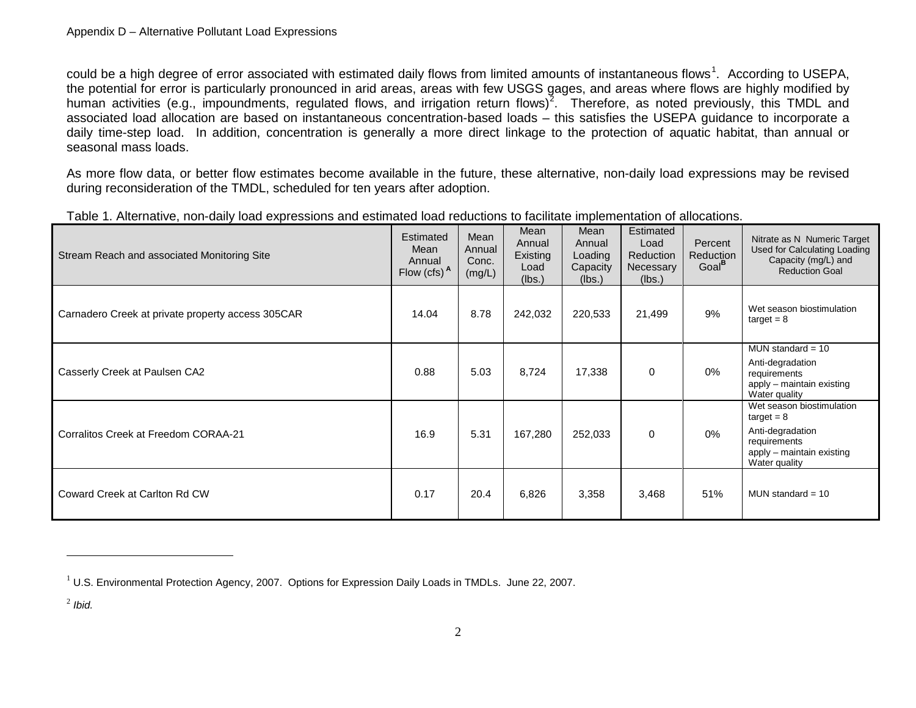<span id="page-1-2"></span><span id="page-1-1"></span>could be a high degree of error associated with estimated daily flows from limited amounts of instantaneous flows<sup>[1](#page-1-1)</sup>. According to USEPA, the potential for error is particularly pronounced in arid areas, areas with few USGS gages, and areas where flows are highly modified by human activities (e.g., impoundments, regulated flows, and irrigation return flows)<sup>[2](#page-1-2)</sup>. Therefore, as noted previously, this TMDL and associated load allocation are based on instantaneous concentration-based loads – this satisfies the USEPA guidance to incorporate a daily time-step load. In addition, concentration is generally a more direct linkage to the protection of aquatic habitat, than annual or seasonal mass loads.

As more flow data, or better flow estimates become available in the future, these alternative, non-daily load expressions may be revised during reconsideration of the TMDL, scheduled for ten years after adoption.

| Stream Reach and associated Monitoring Site       | Estimated<br>Mean<br>Annual<br>Flow (cfs) A | Mean<br>Annual<br>Conc.<br>(mg/L) | Mean<br>Annual<br>Existing<br>Load<br>(lbs.) | Mean<br>Annual<br>Loading<br>Capacity<br>(lbs.) | Estimated<br>Load<br>Reduction<br>Necessary<br>(lbs.) | Percent<br>Reduction<br>Goal <sup>P</sup> | Nitrate as N Numeric Target<br><b>Used for Calculating Loading</b><br>Capacity (mg/L) and<br><b>Reduction Goal</b>          |
|---------------------------------------------------|---------------------------------------------|-----------------------------------|----------------------------------------------|-------------------------------------------------|-------------------------------------------------------|-------------------------------------------|-----------------------------------------------------------------------------------------------------------------------------|
| Carnadero Creek at private property access 305CAR | 14.04                                       | 8.78                              | 242,032                                      | 220,533                                         | 21,499                                                | 9%                                        | Wet season biostimulation<br>$target = 8$                                                                                   |
| Casserly Creek at Paulsen CA2                     | 0.88                                        | 5.03                              | 8,724                                        | 17,338                                          | $\mathbf 0$                                           | 0%                                        | MUN standard $= 10$<br>Anti-degradation<br>requirements<br>apply – maintain existing<br>Water quality                       |
| Corralitos Creek at Freedom CORAA-21              | 16.9                                        | 5.31                              | 167,280                                      | 252,033                                         | $\Omega$                                              | 0%                                        | Wet season biostimulation<br>$target = 8$<br>Anti-degradation<br>requirements<br>apply – maintain existing<br>Water quality |
| Coward Creek at Carlton Rd CW                     | 0.17                                        | 20.4                              | 6,826                                        | 3,358                                           | 3,468                                                 | 51%                                       | MUN standard $=$ 10                                                                                                         |

<span id="page-1-0"></span>Table 1. Alternative, non-daily load expressions and estimated load reductions to facilitate implementation of allocations.

<sup>2</sup> *Ibid.*

 $\overline{a}$ 

 $1$  U.S. Environmental Protection Agency, 2007. Options for Expression Daily Loads in TMDLs. June 22, 2007.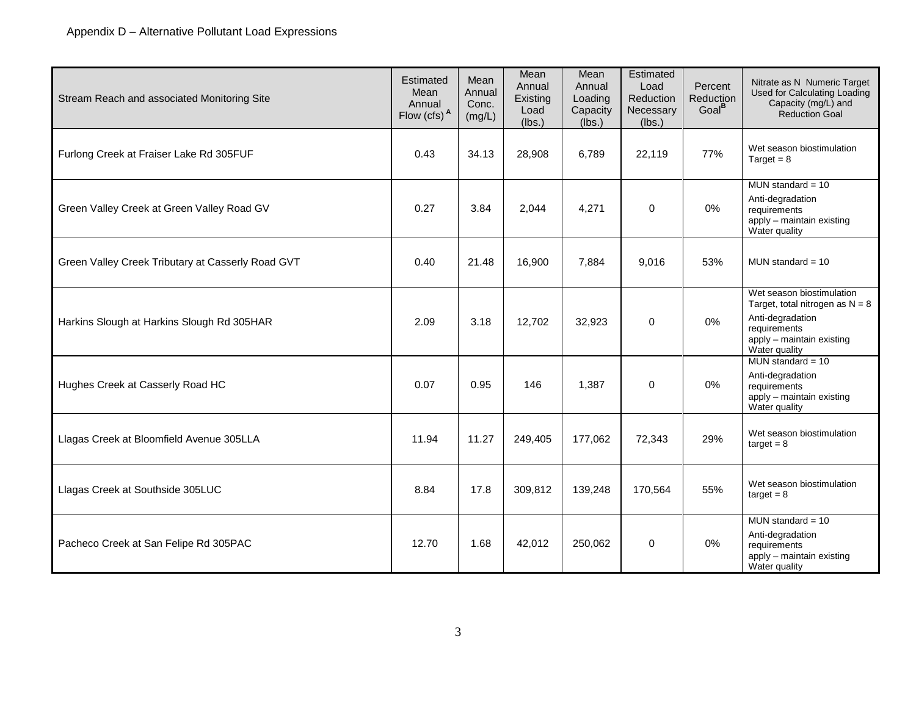| Stream Reach and associated Monitoring Site       | Estimated<br>Mean<br>Annual<br>Flow $(cfs)^A$ | Mean<br>Annual<br>Conc.<br>(mg/L) | Mean<br>Annual<br>Existing<br>Load<br>(lbs.) | Mean<br>Annual<br>Loading<br>Capacity<br>(Ibs.) | Estimated<br>Load<br>Reduction<br>Necessary<br>(lbs.) | Percent<br>Reduction<br>Goal <sup>B</sup> | Nitrate as N Numeric Target<br>Used for Calculating Loading<br>Capacity (mg/L) and<br><b>Reduction Goal</b>                                      |
|---------------------------------------------------|-----------------------------------------------|-----------------------------------|----------------------------------------------|-------------------------------------------------|-------------------------------------------------------|-------------------------------------------|--------------------------------------------------------------------------------------------------------------------------------------------------|
| Furlong Creek at Fraiser Lake Rd 305FUF           | 0.43                                          | 34.13                             | 28,908                                       | 6,789                                           | 22,119                                                | 77%                                       | Wet season biostimulation<br>Target = $8$                                                                                                        |
| Green Valley Creek at Green Valley Road GV        | 0.27                                          | 3.84                              | 2,044                                        | 4,271                                           | $\mathbf 0$                                           | 0%                                        | MUN standard = $10$<br>Anti-degradation<br>requirements<br>apply - maintain existing<br>Water quality                                            |
| Green Valley Creek Tributary at Casserly Road GVT | 0.40                                          | 21.48                             | 16,900                                       | 7,884                                           | 9,016                                                 | 53%                                       | MUN standard = $10$                                                                                                                              |
| Harkins Slough at Harkins Slough Rd 305HAR        | 2.09                                          | 3.18                              | 12,702                                       | 32,923                                          | 0                                                     | 0%                                        | Wet season biostimulation<br>Target, total nitrogen as $N = 8$<br>Anti-degradation<br>requirements<br>apply - maintain existing<br>Water quality |
| Hughes Creek at Casserly Road HC                  | 0.07                                          | 0.95                              | 146                                          | 1,387                                           | $\Omega$                                              | 0%                                        | MUN standard = $10$<br>Anti-degradation<br>requirements<br>apply - maintain existing<br>Water quality                                            |
| Llagas Creek at Bloomfield Avenue 305LLA          | 11.94                                         | 11.27                             | 249,405                                      | 177,062                                         | 72,343                                                | 29%                                       | Wet season biostimulation<br>$target = 8$                                                                                                        |
| Llagas Creek at Southside 305LUC                  | 8.84                                          | 17.8                              | 309,812                                      | 139,248                                         | 170,564                                               | 55%                                       | Wet season biostimulation<br>$target = 8$                                                                                                        |
| Pacheco Creek at San Felipe Rd 305PAC             | 12.70                                         | 1.68                              | 42,012                                       | 250,062                                         | 0                                                     | 0%                                        | MUN standard $= 10$<br>Anti-degradation<br>requirements<br>apply - maintain existing<br>Water quality                                            |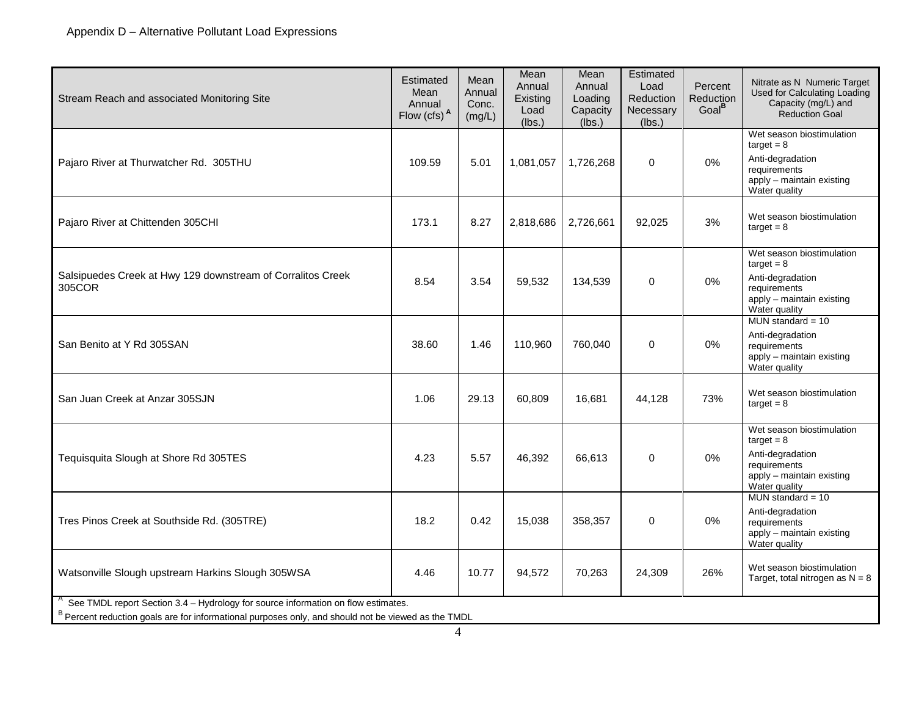| Stream Reach and associated Monitoring Site                                                                                                                                              | Estimated<br>Mean<br>Annual<br>Flow $(cfs)^A$ | Mean<br>Annual<br>Conc.<br>(mg/L) | Mean<br>Annual<br>Existing<br>Load<br>(lbs.) | Mean<br>Annual<br>Loading<br>Capacity<br>(lbs.) | Estimated<br>Load<br>Reduction<br>Necessary<br>(lbs.) | Percent<br><b>Reduction</b><br>Goal <sup>B</sup> | Nitrate as N Numeric Target<br>Used for Calculating Loading<br>Capacity (mg/L) and<br><b>Reduction Goal</b>                 |  |
|------------------------------------------------------------------------------------------------------------------------------------------------------------------------------------------|-----------------------------------------------|-----------------------------------|----------------------------------------------|-------------------------------------------------|-------------------------------------------------------|--------------------------------------------------|-----------------------------------------------------------------------------------------------------------------------------|--|
| Pajaro River at Thurwatcher Rd. 305THU                                                                                                                                                   | 109.59                                        | 5.01                              | 1,081,057                                    | 1,726,268                                       | $\mathbf 0$                                           | 0%                                               | Wet season biostimulation<br>$target = 8$<br>Anti-degradation<br>requirements<br>apply - maintain existing<br>Water quality |  |
| Pajaro River at Chittenden 305CHI                                                                                                                                                        | 173.1                                         | 8.27                              | 2,818,686                                    | 2,726,661                                       | 92,025                                                | 3%                                               | Wet season biostimulation<br>$target = 8$                                                                                   |  |
| Salsipuedes Creek at Hwy 129 downstream of Corralitos Creek<br>305COR                                                                                                                    | 8.54                                          | 3.54                              | 59,532                                       | 134,539                                         | $\mathbf 0$                                           | 0%                                               | Wet season biostimulation<br>$target = 8$<br>Anti-degradation<br>requirements<br>apply - maintain existing<br>Water quality |  |
| San Benito at Y Rd 305SAN                                                                                                                                                                | 38.60                                         | 1.46                              | 110,960                                      | 760,040                                         | 0                                                     | 0%                                               | MUN standard = $10$<br>Anti-degradation<br>requirements<br>apply - maintain existing<br>Water quality                       |  |
| San Juan Creek at Anzar 305SJN                                                                                                                                                           | 1.06                                          | 29.13                             | 60,809                                       | 16,681                                          | 44,128                                                | 73%                                              | Wet season biostimulation<br>$target = 8$                                                                                   |  |
| Tequisquita Slough at Shore Rd 305TES                                                                                                                                                    | 4.23                                          | 5.57                              | 46,392                                       | 66,613                                          | 0                                                     | 0%                                               | Wet season biostimulation<br>$target = 8$<br>Anti-degradation<br>requirements<br>apply - maintain existing<br>Water quality |  |
| Tres Pinos Creek at Southside Rd. (305TRE)                                                                                                                                               | 18.2                                          | 0.42                              | 15,038                                       | 358,357                                         | 0                                                     | 0%                                               | MUN standard = $10$<br>Anti-degradation<br>requirements<br>apply - maintain existing<br>Water quality                       |  |
| Watsonville Slough upstream Harkins Slough 305WSA                                                                                                                                        | 4.46                                          | 10.77                             | 94,572                                       | 70,263                                          | 24,309                                                | 26%                                              | Wet season biostimulation<br>Target, total nitrogen as $N = 8$                                                              |  |
| See TMDL report Section 3.4 - Hydrology for source information on flow estimates.<br>B Percent reduction goals are for informational purposes only, and should not be viewed as the TMDL |                                               |                                   |                                              |                                                 |                                                       |                                                  |                                                                                                                             |  |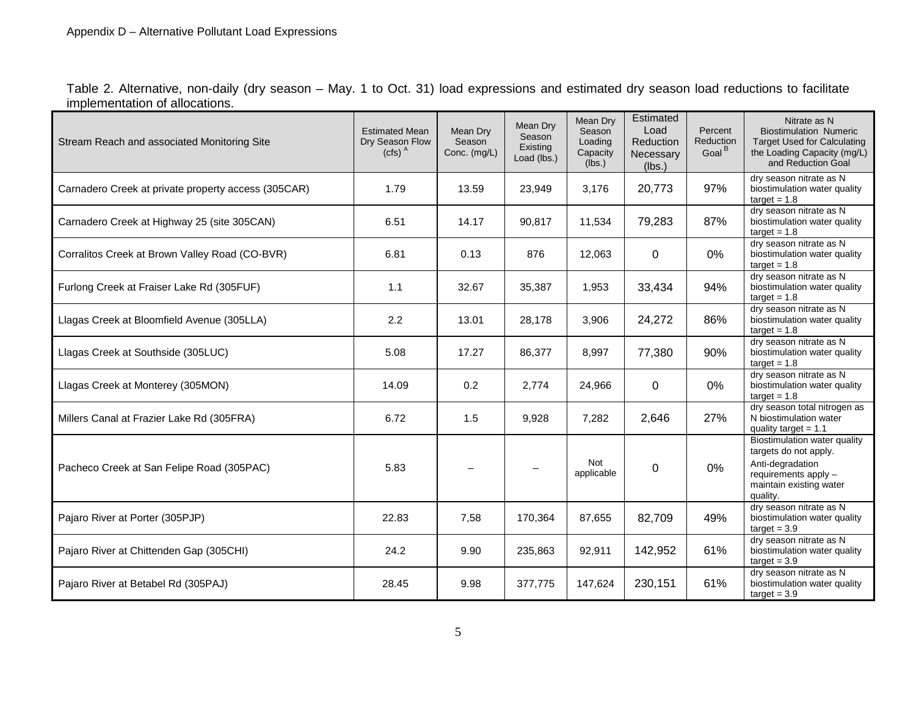<span id="page-4-0"></span>Table 2. Alternative, non-daily (dry season – May. 1 to Oct. 31) load expressions and estimated dry season load reductions to facilitate implementation of allocations.

| Stream Reach and associated Monitoring Site         | <b>Estimated Mean</b><br>Dry Season Flow<br>$(cfs)$ <sup>A</sup> | Mean Dry<br>Season<br>Conc. (mg/L) | Mean Dry<br>Season<br>Existing<br>Load (lbs.) | Mean Drv<br>Season<br>Loading<br>Capacity<br>(lbs.) | Estimated<br>Load<br>Reduction<br>Necessary<br>(lbs.) | Percent<br><b>Reduction</b><br>Goal <sup>B</sup> | Nitrate as N<br><b>Biostimulation Numeric</b><br><b>Target Used for Calculating</b><br>the Loading Capacity (mg/L)<br>and Reduction Goal |
|-----------------------------------------------------|------------------------------------------------------------------|------------------------------------|-----------------------------------------------|-----------------------------------------------------|-------------------------------------------------------|--------------------------------------------------|------------------------------------------------------------------------------------------------------------------------------------------|
| Carnadero Creek at private property access (305CAR) | 1.79                                                             | 13.59                              | 23,949                                        | 3,176                                               | 20,773                                                | 97%                                              | dry season nitrate as N<br>biostimulation water quality<br>$target = 1.8$                                                                |
| Carnadero Creek at Highway 25 (site 305CAN)         | 6.51                                                             | 14.17                              | 90.817                                        | 11,534                                              | 79,283                                                | 87%                                              | dry season nitrate as N<br>biostimulation water quality<br>$target = 1.8$                                                                |
| Corralitos Creek at Brown Valley Road (CO-BVR)      | 6.81                                                             | 0.13                               | 876                                           | 12,063                                              | $\Omega$                                              | 0%                                               | dry season nitrate as N<br>biostimulation water quality<br>$target = 1.8$                                                                |
| Furlong Creek at Fraiser Lake Rd (305FUF)           | 1.1                                                              | 32.67                              | 35,387                                        | 1,953                                               | 33,434                                                | 94%                                              | dry season nitrate as N<br>biostimulation water quality<br>$target = 1.8$                                                                |
| Llagas Creek at Bloomfield Avenue (305LLA)          | 2.2                                                              | 13.01                              | 28,178                                        | 3,906                                               | 24,272                                                | 86%                                              | dry season nitrate as N<br>biostimulation water quality<br>$target = 1.8$                                                                |
| Llagas Creek at Southside (305LUC)                  | 5.08                                                             | 17.27                              | 86,377                                        | 8,997                                               | 77,380                                                | 90%                                              | dry season nitrate as N<br>biostimulation water quality<br>$target = 1.8$                                                                |
| Llagas Creek at Monterey (305MON)                   | 14.09                                                            | 0.2                                | 2,774                                         | 24,966                                              | 0                                                     | 0%                                               | dry season nitrate as N<br>biostimulation water quality<br>$target = 1.8$                                                                |
| Millers Canal at Frazier Lake Rd (305FRA)           | 6.72                                                             | 1.5                                | 9,928                                         | 7,282                                               | 2,646                                                 | 27%                                              | dry season total nitrogen as<br>N biostimulation water<br>quality target = $1.1$                                                         |
| Pacheco Creek at San Felipe Road (305PAC)           | 5.83                                                             |                                    |                                               | <b>Not</b><br>applicable                            | $\Omega$                                              | 0%                                               | Biostimulation water quality<br>targets do not apply.<br>Anti-degradation<br>requirements apply -<br>maintain existing water<br>quality. |
| Pajaro River at Porter (305PJP)                     | 22.83                                                            | 7,58                               | 170,364                                       | 87,655                                              | 82,709                                                | 49%                                              | dry season nitrate as N<br>biostimulation water quality<br>$target = 3.9$                                                                |
| Pajaro River at Chittenden Gap (305CHI)             | 24.2                                                             | 9.90                               | 235,863                                       | 92,911                                              | 142,952                                               | 61%                                              | dry season nitrate as N<br>biostimulation water quality<br>$target = 3.9$                                                                |
| Pajaro River at Betabel Rd (305PAJ)                 | 28.45                                                            | 9.98                               | 377.775                                       | 147,624                                             | 230,151                                               | 61%                                              | dry season nitrate as N<br>biostimulation water quality<br>$target = 3.9$                                                                |